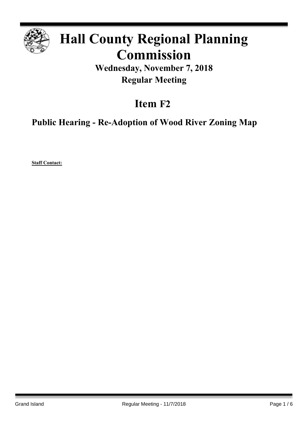

# **Hall County Regional Planning Commission**

**Wednesday, November 7, 2018 Regular Meeting**

## **Item F2**

**Public Hearing - Re-Adoption of Wood River Zoning Map**

**Staff Contact:**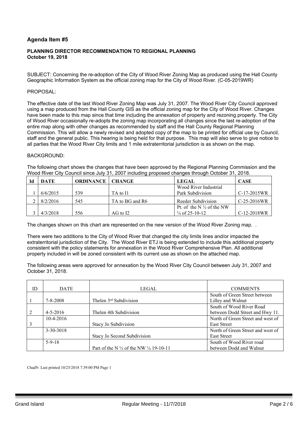### **Agenda Item #5**

#### **PLANNING DIRECTOR RECOMMENDATION TO REGIONAL PLANNING October 19, 2018**

SUBJECT: Concerning the re-adoption of the City of Wood River Zoning Map as produced using the Hall County Geographic Information System as the official zoning map for the City of Wood River. (C-05-2019WR)

#### PROPOSAL:

The effective date of the last Wood River Zoning Map was July 31, 2007. The Wood River City Council approved using a map produced from the Hall County GIS as the official zoning map for the City of Wood River. Changes have been made to this map since that time including the annexation of property and rezoning property. The City of Wood River occasionally re-adopts the zoning map incorporating all changes since the last re-adoption of the entire map along with other changes as recommended by staff and the Hall County Regional Planning Commission. This will allow a newly revised and adopted copy of the map to be printed for official use by Council, staff and the general public. This hearing is being held for that purpose. This map will also serve to give notice to all parties that the Wood River City limits and 1 mile extraterritorial jurisdiction is as shown on the map.

#### BACKGROUND:

The following chart shows the changes that have been approved by the Regional Planning Commission and the Wood River City Council since July 31, 2007 including proposed changes through October 31, 2018.

| DATE     | <b>ORDINANCE   CHANGE</b> |                 | <b>LEGAL</b>                        | <b>CASE</b>   |
|----------|---------------------------|-----------------|-------------------------------------|---------------|
|          |                           |                 | Wood River Industrial               |               |
| 6/6/2015 | 539                       | TA to I1        | Park Subdivision                    | $C-17-2015WR$ |
| 8/2/2016 | 545                       | TA to BG and R6 | Reeder Subdivision                  | $C-25-2016WR$ |
|          |                           |                 | Pt of the N $\frac{1}{2}$ of the NW |               |
| 4/3/2018 | 556                       | AG to I2        | $\frac{1}{4}$ of 25-10-12           | C-12-2018WR   |

The changes shown on this chart are represented on the new version of the Wood River Zoning map. .

There were two additions to the City of Wood River that changed the city limits lines and/or impacted the extraterritorial jurisdiction of the City. The Wood River ETJ is being extended to include this additional property consistent with the policy statements for annexation in the Wood River Comprehensive Plan. All additional property included in will be zoned consistent with its current use as shown on the attached map.

The following areas were approved for annexation by the Wood River City Council between July 31, 2007 and October 31, 2018.

| ID | <b>DATE</b>    | LEGAL                                                        | <b>COMMENTS</b>                   |
|----|----------------|--------------------------------------------------------------|-----------------------------------|
|    |                |                                                              |                                   |
|    |                |                                                              | South of Green Street between     |
|    | $7 - 8 - 2008$ | Thelen 3 <sup>rd</sup> Subdivision                           | Lilley and Walnut                 |
|    |                |                                                              | South of Wood River Road          |
|    | $4 - 5 - 2016$ | Thelen 4th Subdivision                                       | between Dodd Street and Hwy 11.   |
|    | $10-4-2016$    |                                                              | North of Green Street and west of |
|    |                | Stacy Jo Subdivision                                         | <b>East Street</b>                |
|    | 3-30-3018      |                                                              | North of Green Street and west of |
|    |                | Stacy Jo Second Subdivision                                  | <b>East Street</b>                |
|    | $5 - 9 - 18$   |                                                              | South of Wood River road          |
|    |                | Part of the N $\frac{1}{2}$ of the NW $\frac{1}{4}$ 19-10-11 | between Dodd and Walnut           |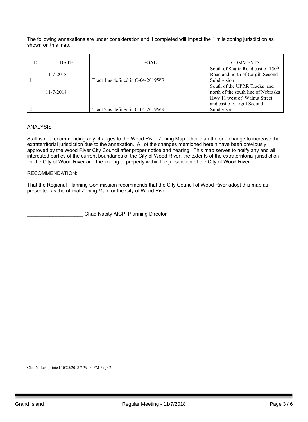The following annexations are under consideration and if completed will impact the 1 mile zoning jurisdiction as shown on this map.

| ID | <b>DATE</b>     | LEGAL                             | <b>COMMENTS</b>                                                                                                                   |
|----|-----------------|-----------------------------------|-----------------------------------------------------------------------------------------------------------------------------------|
|    | $11 - 7 - 2018$ | Tract 1 as defined in C-04-2019WR | South of Shultz Road east of 150 <sup>th</sup><br>Road and north of Cargill Second<br>Subdivision                                 |
|    | $11 - 7 - 2018$ |                                   | South of the UPRR Tracks and<br>north of the south line of Nebraska<br>Hwy 11 west of Walnut Street<br>and east of Cargill Second |
|    |                 | Tract 2 as defined in C-04-2019WR | Subdivison.                                                                                                                       |

#### ANALYSIS

Staff is not recommending any changes to the Wood River Zoning Map other than the one change to increase the extraterritorial jurisdiction due to the annexation. All of the changes mentioned herein have been previously approved by the Wood River City Council after proper notice and hearing. This map serves to notify any and all interested parties of the current boundaries of the City of Wood River, the extents of the extraterritorial jurisdiction for the City of Wood River and the zoning of property within the jurisdiction of the City of Wood River.

#### RECOMMENDATION:

That the Regional Planning Commission recommends that the City Council of Wood River adopt this map as presented as the official Zoning Map for the City of Wood River.

\_\_\_\_\_\_\_\_\_\_\_\_\_\_\_\_\_\_\_\_ Chad Nabity AICP, Planning Director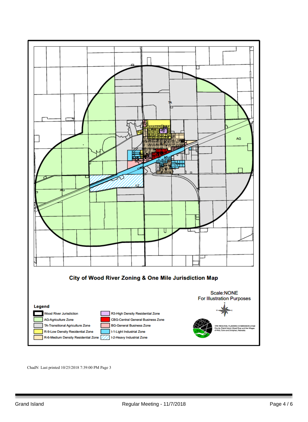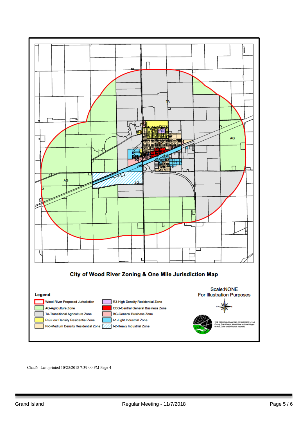